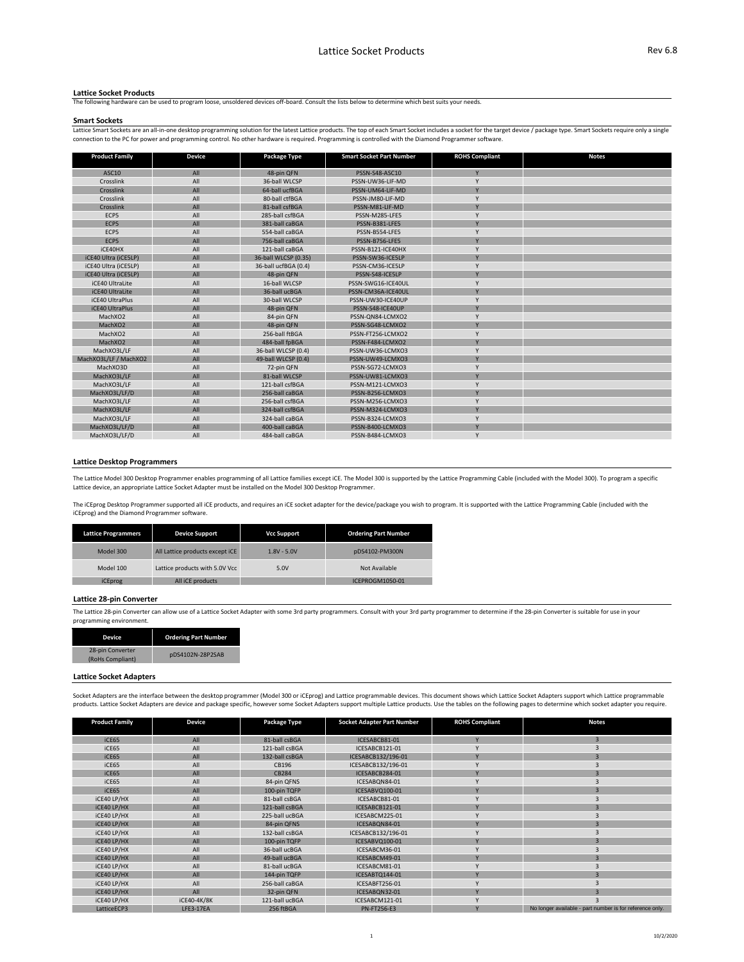| <b>Product Family</b>  | <b>Device</b> | <b>Package Type</b>  | <b>Smart Socket Part Number</b> | <b>ROHS Compliant</b> | <b>Notes</b> |
|------------------------|---------------|----------------------|---------------------------------|-----------------------|--------------|
| <b>ASC10</b>           | All           | 48-pin QFN           | PSSN-S48-ASC10                  | Y                     |              |
| Crosslink              | All           | 36-ball WLCSP        | PSSN-UW36-LIF-MD                | $\mathsf{V}$          |              |
| Crosslink              | All           | 64-ball ucfBGA       | PSSN-UM64-LIF-MD                | Y                     |              |
| Crosslink              | All           | 80-ball ctfBGA       | PSSN-JM80-LIF-MD                | $\mathsf{Y}$          |              |
| Crosslink              | All           | 81-ball csfBGA       | PSSN-M81-LIF-MD                 | $\mathsf{Y}$          |              |
| ECP5                   | All           | 285-ball csfBGA      | PSSN-M285-LFE5                  | $\mathsf{Y}$          |              |
| ECP5                   | All           | 381-ball caBGA       | PSSN-B381-LFE5                  | Y                     |              |
| ECP5                   | All           | 554-ball caBGA       | PSSN-B554-LFE5                  | Y                     |              |
| ECP5                   | All           | 756-ball caBGA       | PSSN-B756-LFE5                  | Y                     |              |
| iCE40HX                | All           | 121-ball caBGA       | PSSN-B121-ICE40HX               | <b>Y</b>              |              |
| iCE40 Ultra (iCE5LP)   | All           | 36-ball WLCSP (0.35) | PSSN-SW36-ICE5LP                | Y                     |              |
| iCE40 Ultra (iCE5LP)   | All           | 36-ball ucfBGA (0.4) | PSSN-CM36-ICE5LP                | $\mathsf{V}$          |              |
| iCE40 Ultra (iCE5LP)   | All           | 48-pin QFN           | PSSN-S48-ICE5LP                 | $\vee$                |              |
| iCE40 UltraLite        | All           | 16-ball WLCSP        | PSSN-SWG16-ICE40UL              | Y                     |              |
| iCE40 UltraLite        | All           | 36-ball ucBGA        | PSSN-CM36A-ICE40UL              | Y                     |              |
| iCE40 UltraPlus        | All           | 30-ball WLCSP        | PSSN-UW30-ICE40UP               | $\mathsf{V}$          |              |
| <b>iCE40 UltraPlus</b> | All           | 48-pin QFN           | PSSN-S48-ICE40UP                | Y                     |              |
| MachXO2                | All           | 84-pin QFN           | PSSN-QN84-LCMXO2                | Y                     |              |
| MachXO2                | All           | 48-pin QFN           | PSSN-SG48-LCMXO2                | Y                     |              |
| MachXO2                | All           | 256-ball ftBGA       | PSSN-FT256-LCMXO2               | <b>Y</b>              |              |
| MachXO2                | All           | 484-ball fpBGA       | PSSN-F484-LCMXO2                | Y                     |              |
| MachXO3L/LF            | All           | 36-ball WLCSP (0.4)  | PSSN-UW36-LCMXO3                | Y                     |              |
| MachXO3L/LF / MachXO2  | All           | 49-ball WLCSP (0.4)  | PSSN-UW49-LCMXO3                | $\vee$                |              |
| MachXO3D               | All           | 72-pin QFN           | PSSN-SG72-LCMXO3                | <b>Y</b>              |              |
| MachXO3L/LF            | All           | 81-ball WLCSP        | PSSN-UW81-LCMXO3                | $\mathsf{V}$          |              |
| MachXO3L/LF            | All           | 121-ball csfBGA      | PSSN-M121-LCMXO3                | $\vee$                |              |
| MachXO3L/LF/D          | All           | 256-ball caBGA       | PSSN-B256-LCMXO3                | Y                     |              |
| MachXO3L/LF            | All           | 256-ball csfBGA      | PSSN-M256-LCMXO3                | $\mathsf{Y}$          |              |
| MachXO3L/LF            | All           | 324-ball csfBGA      | PSSN-M324-LCMXO3                | Y                     |              |
| MachXO3L/LF            | All           | 324-ball caBGA       | PSSN-B324-LCMXO3                | <b>V</b>              |              |
| MachXO3L/LF/D          | All           | 400-ball caBGA       | PSSN-B400-LCMXO3                | Y                     |              |
| MachXO3L/LF/D          | All           | 484-ball caBGA       | PSSN-B484-LCMXO3                | Y                     |              |

| <b>Lattice Programmers</b> | <b>Device Support</b>           | <b>Vcc Support</b> | <b>Ordering Part Number</b> |
|----------------------------|---------------------------------|--------------------|-----------------------------|
| Model 300                  | All Lattice products except iCE | $1.8V - 5.0V$      | pDS4102-PM300N              |
| Model 100                  | Lattice products with 5.0V Vcc  | 5.0V               | Not Available               |
| iCEprog                    | All iCE products                |                    | ICEPROGM1050-01             |

Lattice Smart Sockets are an all-in-one desktop programming solution for the latest Lattice products. The top of each Smart Socket includes a socket for the target device / package type. Smart Sockets require only a single connection to the PC for power and programming control. No other hardware is required. Programming is controlled with the Diamond Programmer software.

| <b>Device</b>                        | <b>Ordering Part Number</b> |  |  |
|--------------------------------------|-----------------------------|--|--|
| 28-pin Converter<br>(RoHs Compliant) | pDS4102N-28P2SAB            |  |  |

The Lattice 28-pin Converter can allow use of a Lattice Socket Adapter with some 3rd party programmers. Consult with your 3rd party programmer to determine if the 28-pin Converter is suitable for use in your programming environment.

| <b>Product Family</b> | <b>Device</b> | <b>Package Type</b> | <b>Socket Adapter Part Number</b> | <b>ROHS Compliant</b> | <b>Notes</b>                                             |
|-----------------------|---------------|---------------------|-----------------------------------|-----------------------|----------------------------------------------------------|
|                       |               |                     |                                   |                       |                                                          |
| iCE65                 | All           | 81-ball csBGA       | ICESABCB81-01                     | $\mathsf{v}$          | $\overline{3}$                                           |
| iCE65                 | All           | 121-ball csBGA      | ICESABCB121-01                    |                       |                                                          |
| iCE65                 | All           | 132-ball csBGA      | ICESABCB132/196-01                | $\vee$                |                                                          |
| iCE65                 | All           | CB196               | ICESABCB132/196-01                | Υ                     |                                                          |
| iCE65                 | All           | <b>CB284</b>        | ICESABCB284-01                    |                       |                                                          |
| iCE65                 | All           | 84-pin QFNS         | ICESABQN84-01                     |                       |                                                          |
| iCE65                 | All           | 100-pin TQFP        | ICESABVQ100-01                    | $\vee$                |                                                          |
| iCE40 LP/HX           | All           | 81-ball csBGA       | ICESABCB81-01                     |                       |                                                          |
| iCE40 LP/HX           | All           | 121-ball csBGA      | ICESABCB121-01                    | $\vee$                |                                                          |
| iCE40 LP/HX           | All           | 225-ball ucBGA      | ICESABCM225-01                    |                       |                                                          |
| iCE40 LP/HX           | All           | 84-pin QFNS         | ICESABQN84-01                     | $\mathbf{v}$          |                                                          |
| iCE40 LP/HX           | All           | 132-ball csBGA      | ICESABCB132/196-01                |                       |                                                          |
| iCE40 LP/HX           | All           | 100-pin TQFP        | ICESABVQ100-01                    | $\vee$                |                                                          |
| iCE40 LP/HX           | All           | 36-ball ucBGA       | ICESABCM36-01                     |                       |                                                          |
| iCE40 LP/HX           | All           | 49-ball ucBGA       | ICESABCM49-01                     |                       |                                                          |
| iCE40 LP/HX           | All           | 81-ball ucBGA       | ICESABCM81-01                     | $\mathbf{v}$          |                                                          |
| iCE40 LP/HX           | All           | 144-pin TQFP        | ICESABTQ144-01                    | V                     |                                                          |
| iCE40 LP/HX           | All           | 256-ball caBGA      | ICESABFT256-01                    |                       |                                                          |
| iCE40 LP/HX           | All           | 32-pin QFN          | ICESABQN32-01                     | $\vee$                |                                                          |
| iCE40 LP/HX           | iCE40-4K/8K   | 121-ball ucBGA      | ICESABCM121-01                    |                       |                                                          |
| LatticeECP3           | LFE3-17EA     | 256 ftBGA           | <b>PN-FT256-E3</b>                | $\vee$                | No longer available - part number is for reference only. |

### **Lattice Desktop Programmers**

#### **Lattice Socket Products**

The following hardware can be used to program loose, unsoldered devices off-board. Consult the lists below to determine which best suits your needs.

#### **Smart Sockets**

The Lattice Model 300 Desktop Programmer enables programming of all Lattice families except iCE. The Model 300 is supported by the Lattice Programming Cable (included with the Model 300). To program a specific Lattice device, an appropriate Lattice Socket Adapter must be installed on the Model 300 Desktop Programmer.

The iCEprog Desktop Programmer supported all iCE products, and requires an iCE socket adapter for the device/package you wish to program. It is supported with the Lattice Programming Cable (included with the iCEprog) and the Diamond Programmer software.

## **Lattice 28-pin Converter**

# **Lattice Socket Adapters**

Socket Adapters are the interface between the desktop programmer (Model 300 or iCEprog) and Lattice programmable devices. This document shows which Lattice Socket Adapters support which Lattice programmable products. Lattice Socket Adapters are device and package specific, however some Socket Adapters support multiple Lattice products. Use the tables on the following pages to determine which socket adapter you require.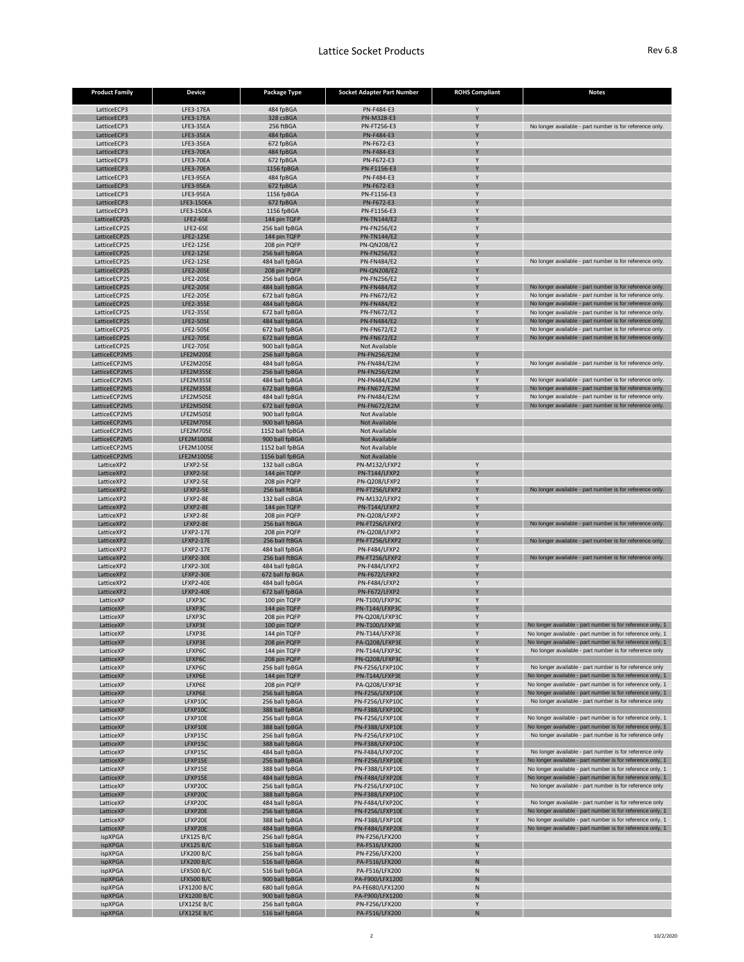| <b>Product Family</b>          | <b>Device</b>                            | <b>Package Type</b>                | <b>Socket Adapter Part Number</b>          | <b>ROHS Compliant</b> | <b>Notes</b>                                                                                                          |
|--------------------------------|------------------------------------------|------------------------------------|--------------------------------------------|-----------------------|-----------------------------------------------------------------------------------------------------------------------|
| LatticeECP3                    | LFE3-17EA                                | 484 fpBGA                          | PN-F484-E3                                 |                       |                                                                                                                       |
| LatticeECP3                    | LFE3-17EA                                | 328 csBGA                          | PN-M328-E3                                 |                       |                                                                                                                       |
| LatticeECP3                    | LFE3-35EA                                | 256 ftBGA                          | <b>PN-FT256-E3</b>                         |                       | No longer available - part number is for reference only.                                                              |
| LatticeECP3<br>LatticeECP3     | <b>LFE3-35EA</b><br>LFE3-35EA            | 484 fpBGA<br>672 fpBGA             | PN-F484-E3<br>PN-F672-E3                   |                       |                                                                                                                       |
| LatticeECP3                    | <b>LFE3-70EA</b>                         | 484 fpBGA                          | PN-F484-E3                                 |                       |                                                                                                                       |
| LatticeECP3                    | LFE3-70EA                                | 672 fpBGA                          | PN-F672-E3                                 |                       |                                                                                                                       |
| LatticeECP3                    | LFE3-70EA                                | 1156 fpBGA                         | PN-F1156-E3                                |                       |                                                                                                                       |
| LatticeECP3                    | LFE3-95EA                                | 484 fpBGA                          | PN-F484-E3                                 |                       |                                                                                                                       |
| LatticeECP3                    | <b>LFE3-95EA</b>                         | 672 fpBGA                          | PN-F672-E3<br>PN-F1156-E3                  |                       |                                                                                                                       |
| LatticeECP3<br>LatticeECP3     | LFE3-95EA<br>LFE3-150EA                  | 1156 fpBGA<br>672 fpBGA            | PN-F672-E3                                 |                       |                                                                                                                       |
| LatticeECP3                    | LFE3-150EA                               | 1156 fpBGA                         | PN-F1156-E3                                |                       |                                                                                                                       |
| LatticeECP2S                   | LFE2-6SE                                 | 144 pin TQFP                       | <b>PN-TN144/E2</b>                         |                       |                                                                                                                       |
| LatticeECP2S                   | LFE2-6SE                                 | 256 ball fpBGA                     | <b>PN-FN256/E2</b>                         |                       |                                                                                                                       |
| LatticeECP2S<br>LatticeECP2S   | <b>LFE2-12SE</b><br><b>LFE2-12SE</b>     | 144 pin TQFP                       | <b>PN-TN144/E2</b><br><b>PN-QN208/E2</b>   |                       |                                                                                                                       |
| LatticeECP2S                   | <b>LFE2-12SE</b>                         | 208 pin PQFP<br>256 ball fpBGA     | <b>PN-FN256/E2</b>                         |                       |                                                                                                                       |
| LatticeECP2S                   | <b>LFE2-12SE</b>                         | 484 ball fpBGA                     | <b>PN-FN484/E2</b>                         |                       | No longer available - part number is for reference only.                                                              |
| LatticeECP2S                   | <b>LFE2-20SE</b>                         | 208 pin PQFP                       | <b>PN-QN208/E2</b>                         |                       |                                                                                                                       |
| LatticeECP2S                   | <b>LFE2-20SE</b>                         | 256 ball fpBGA                     | <b>PN-FN256/E2</b>                         |                       |                                                                                                                       |
| LatticeECP2S<br>LatticeECP2S   | <b>LFE2-20SE</b><br><b>LFE2-20SE</b>     | 484 ball fpBGA<br>672 ball fpBGA   | <b>PN-FN484/E2</b><br><b>PN-FN672/E2</b>   |                       | No longer available - part number is for reference only.<br>No longer available - part number is for reference only.  |
| LatticeECP2S                   | <b>LFE2-35SE</b>                         | 484 ball fpBGA                     | <b>PN-FN484/E2</b>                         |                       | No longer available - part number is for reference only.                                                              |
| LatticeECP2S                   | <b>LFE2-35SE</b>                         | 672 ball fpBGA                     | <b>PN-FN672/E2</b>                         |                       | No longer available - part number is for reference only.                                                              |
| LatticeECP2S                   | <b>LFE2-50SE</b>                         | 484 ball fpBGA                     | <b>PN-FN484/E2</b>                         |                       | No longer available - part number is for reference only.                                                              |
| LatticeECP2S                   | <b>LFE2-50SE</b>                         | 672 ball fpBGA                     | <b>PN-FN672/E2</b>                         |                       | No longer available - part number is for reference only.                                                              |
| LatticeECP2S                   | <b>LFE2-70SE</b>                         | 672 ball fpBGA                     | <b>PN-FN672/E2</b>                         |                       | No longer available - part number is for reference only.                                                              |
| LatticeECP2S<br>LatticeECP2MS  | <b>LFE2-70SE</b><br>LFE2M20SE            | 900 ball fpBGA<br>256 ball fpBGA   | Not Available<br><b>PN-FN256/E2M</b>       | $\mathsf{V}$          |                                                                                                                       |
| LatticeECP2MS                  | LFE2M20SE                                | 484 ball fpBGA                     | <b>PN-FN484/E2M</b>                        |                       | No longer available - part number is for reference only.                                                              |
| LatticeECP2MS                  | LFE2M35SE                                | 256 ball fpBGA                     | <b>PN-FN256/E2M</b>                        |                       |                                                                                                                       |
| LatticeECP2MS                  | LFE2M35SE                                | 484 ball fpBGA                     | <b>PN-FN484/E2M</b>                        |                       | No longer available - part number is for reference only.                                                              |
| LatticeECP2MS                  | LFE2M35SE                                | 672 ball fpBGA                     | <b>PN-FN672/E2M</b>                        |                       | No longer available - part number is for reference only.                                                              |
| LatticeECP2MS<br>LatticeECP2MS | LFE2M50SE<br>LFE2M50SE                   | 484 ball fpBGA<br>672 ball fpBGA   | <b>PN-FN484/E2M</b><br><b>PN-FN672/E2M</b> |                       | No longer available - part number is for reference only.<br>No longer available - part number is for reference only.  |
| LatticeECP2MS                  | LFE2M50SE                                | 900 ball fpBGA                     | Not Available                              |                       |                                                                                                                       |
| LatticeECP2MS                  | LFE2M70SE                                | 900 ball fpBGA                     | <b>Not Available</b>                       |                       |                                                                                                                       |
| LatticeECP2MS                  | LFE2M70SE                                | 1152 ball fpBGA                    | Not Available                              |                       |                                                                                                                       |
| LatticeECP2MS                  | LFE2M100SE                               | 900 ball fpBGA                     | Not Available                              |                       |                                                                                                                       |
| LatticeECP2MS<br>LatticeECP2MS | LFE2M100SE<br>LFE2M100SE                 | 1152 ball fpBGA<br>1156 ball fpBGA | Not Available<br><b>Not Available</b>      |                       |                                                                                                                       |
| LatticeXP2                     | LFXP2-5E                                 | 132 ball csBGA                     | PN-M132/LFXP2                              |                       |                                                                                                                       |
| LatticeXP2                     | LFXP2-5E                                 | 144 pin TQFP                       | PN-T144/LFXP2                              |                       |                                                                                                                       |
| LatticeXP2                     | LFXP2-5E                                 | 208 pin PQFP                       | PN-Q208/LFXP2                              |                       |                                                                                                                       |
| LatticeXP2                     | LFXP2-5E                                 | 256 ball ftBGA                     | PN-FT256/LFXP2                             |                       | No longer available - part number is for reference only.                                                              |
| LatticeXP2<br>LatticeXP2       | LFXP2-8E<br>LFXP2-8E                     | 132 ball csBGA<br>144 pin TQFP     | PN-M132/LFXP2<br>PN-T144/LFXP2             |                       |                                                                                                                       |
| LatticeXP2                     | LFXP2-8E                                 | 208 pin PQFP                       | PN-Q208/LFXP2                              |                       |                                                                                                                       |
| LatticeXP2                     | LFXP2-8E                                 | 256 ball ftBGA                     | PN-FT256/LFXP2                             |                       | No longer available - part number is for reference only.                                                              |
| LatticeXP2                     | <b>LFXP2-17E</b>                         | 208 pin PQFP                       | PN-Q208/LFXP2                              |                       |                                                                                                                       |
| LatticeXP2                     | <b>LFXP2-17E</b>                         | 256 ball ftBGA                     | PN-FT256/LFXP2                             |                       | No longer available - part number is for reference only.                                                              |
| LatticeXP2<br>LatticeXP2       | <b>LFXP2-17E</b><br><b>LFXP2-30E</b>     | 484 ball fpBGA<br>256 ball ftBGA   | PN-F484/LFXP2<br>PN-FT256/LFXP2            |                       | No longer available - part number is for reference only.                                                              |
| LatticeXP2                     | <b>LFXP2-30E</b>                         | 484 ball fpBGA                     | PN-F484/LFXP2                              |                       |                                                                                                                       |
| LatticeXP2                     | <b>LFXP2-30E</b>                         | 672 ball fp BGA                    | <b>PN-F672/LFXP2</b>                       | V                     |                                                                                                                       |
| LatticeXP2                     | LFXP2-40E                                | 484 ball fpBGA                     | PN-F484/LFXP2                              |                       |                                                                                                                       |
| LatticeXP2                     | <b>LFXP2-40E</b>                         | 672 ball fpBGA                     | PN-F672/LFXP2                              |                       |                                                                                                                       |
| LatticeXP<br>LatticeXP         | LFXP3C<br>LFXP3C                         | 100 pin TQFP<br>144 pin TQFP       | PN-T100/LFXP3C<br>PN-T144/LFXP3C           |                       |                                                                                                                       |
| LatticeXP                      | LFXP3C                                   | 208 pin PQFP                       | PN-Q208/LFXP3C                             |                       |                                                                                                                       |
| LatticeXP                      | LFXP3E                                   | 100 pin TQFP                       | PN-T100/LFXP3E                             |                       | No longer available - part number is for reference only, 1                                                            |
| LatticeXP                      | LFXP3E                                   | 144 pin TQFP                       | PN-T144/LFXP3E                             |                       | No longer available - part number is for reference only, 1                                                            |
| LatticeXP                      | LFXP3E                                   | 208 pin PQFP                       | PA-Q208/LFXP3E                             |                       | No longer available - part number is for reference only, 1                                                            |
| LatticeXP<br>LatticeXP         | LFXP6C<br>LFXP6C                         | 144 pin TQFP<br>208 pin PQFP       | PN-T144/LFXP3C<br>PN-Q208/LFXP3C           |                       | No longer available - part number is for reference only                                                               |
| LatticeXP                      | LFXP6C                                   | 256 ball fpBGA                     | PN-F256/LFXP10C                            |                       | No longer available - part number is for reference only                                                               |
| LatticeXP                      | LFXP6E                                   | 144 pin TQFP                       | PN-T144/LFXP3E                             |                       | No longer available - part number is for reference only, 1                                                            |
| LatticeXP                      | LFXP6E                                   | 208 pin PQFP                       | PA-Q208/LFXP3E                             |                       | No longer available - part number is for reference only, 1                                                            |
| LatticeXP                      | LFXP6E                                   | 256 ball fpBGA                     | PN-F256/LFXP10E                            |                       | No longer available - part number is for reference only, 1<br>No longer available - part number is for reference only |
| LatticeXP<br>LatticeXP         | LFXP10C<br>LFXP10C                       | 256 ball fpBGA<br>388 ball fpBGA   | PN-F256/LFXP10C<br>PN-F388/LFXP10C         |                       |                                                                                                                       |
| LatticeXP                      | LFXP10E                                  | 256 ball fpBGA                     | PN-F256/LFXP10E                            |                       | No longer available - part number is for reference only, 1                                                            |
| LatticeXP                      | LFXP10E                                  | 388 ball fpBGA                     | PN-F388/LFXP10E                            |                       | No longer available - part number is for reference only, 1                                                            |
| LatticeXP                      | LFXP15C                                  | 256 ball fpBGA                     | PN-F256/LFXP10C                            |                       | No longer available - part number is for reference only                                                               |
| LatticeXP                      | LFXP15C                                  | 388 ball fpBGA                     | PN-F388/LFXP10C                            |                       |                                                                                                                       |
| LatticeXP<br>LatticeXP         | LFXP15C<br>LFXP15E                       | 484 ball fpBGA<br>256 ball fpBGA   | PN-F484/LFXP20C<br>PN-F256/LFXP10E         |                       | No longer available - part number is for reference only<br>No longer available - part number is for reference only, 1 |
| LatticeXP                      | LFXP15E                                  | 388 ball fpBGA                     | PN-F388/LFXP10E                            |                       | No longer available - part number is for reference only, 1                                                            |
| LatticeXP                      | LFXP15E                                  | 484 ball fpBGA                     | PN-F484/LFXP20E                            |                       | No longer available - part number is for reference only, 1                                                            |
| LatticeXP                      | LFXP20C                                  | 256 ball fpBGA                     | PN-F256/LFXP10C                            |                       | No longer available - part number is for reference only                                                               |
| LatticeXP                      | LFXP20C                                  | 388 ball fpBGA                     | PN-F388/LFXP10C                            |                       |                                                                                                                       |
| LatticeXP<br>LatticeXP         | LFXP20C<br>LFXP20E                       | 484 ball fpBGA<br>256 ball fpBGA   | PN-F484/LFXP20C<br>PN-F256/LFXP10E         |                       | No longer available - part number is for reference only<br>No longer available - part number is for reference only, 1 |
| LatticeXP                      | LFXP20E                                  | 388 ball fpBGA                     | PN-F388/LFXP10E                            |                       | No longer available - part number is for reference only, 1                                                            |
| LatticeXP                      | LFXP20E                                  | 484 ball fpBGA                     | PN-F484/LFXP20E                            |                       | No longer available - part number is for reference only, 1                                                            |
| ispXPGA                        | LFX125 B/C                               | 256 ball fpBGA                     | PN-F256/LFX200                             |                       |                                                                                                                       |
| ispXPGA                        | LFX125 B/C                               | 516 ball fpBGA                     | PA-F516/LFX200                             | N                     |                                                                                                                       |
| ispXPGA<br>ispXPGA             | LFX200 B/C<br><b>LFX200 B/C</b>          | 256 ball fpBGA<br>516 ball fpBGA   | PN-F256/LFX200<br>PA-F516/LFX200           | ${\sf N}$             |                                                                                                                       |
| ispXPGA                        | <b>LFX500 B/C</b>                        | 516 ball fpBGA                     | PA-F516/LFX200                             | ${\sf N}$             |                                                                                                                       |
| ispXPGA                        | <b>LFX500 B/C</b>                        | 900 ball fpBGA                     | PA-F900/LFX1200                            | N                     |                                                                                                                       |
| ispXPGA                        | LFX1200 B/C                              | 680 ball fpBGA                     | PA-FE680/LFX1200                           | ${\sf N}$             |                                                                                                                       |
| ispXPGA                        | LFX1200 B/C                              | 900 ball fpBGA                     | PA-F900/LFX1200                            | N                     |                                                                                                                       |
| ispXPGA<br>ispXPGA             | <b>LFX125E B/C</b><br><b>LFX125E B/C</b> | 256 ball fpBGA<br>516 ball fpBGA   | PN-F256/LFX200<br>PA-F516/LFX200           | ${\sf N}$             |                                                                                                                       |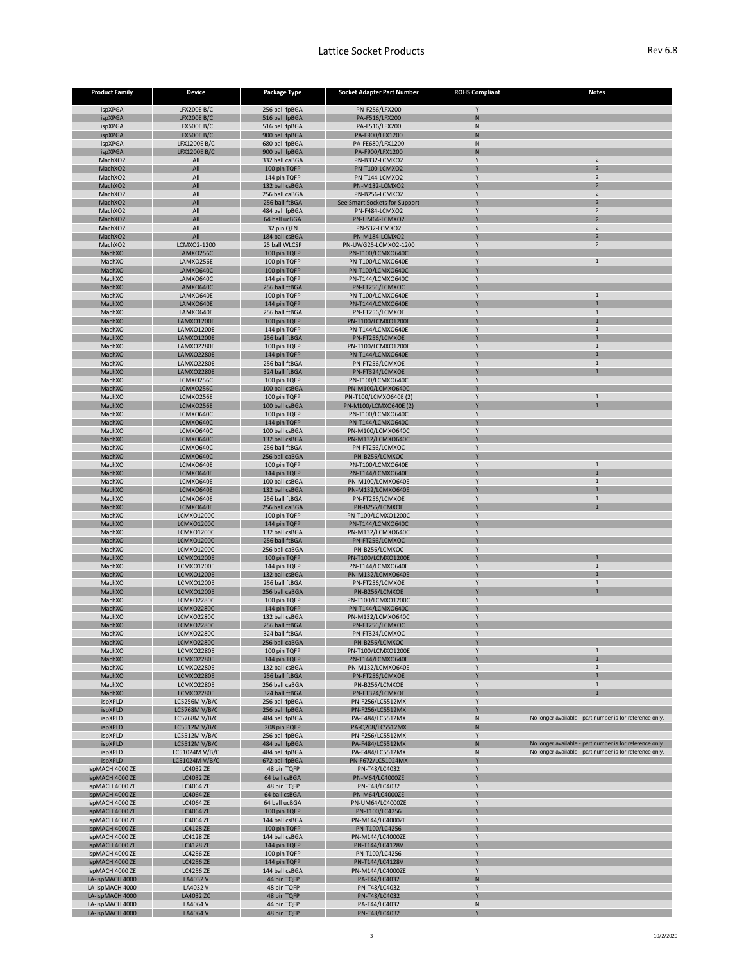| <b>Product Family</b>              | <b>Device</b>                             | <b>Package Type</b>              | <b>Socket Adapter Part Number</b>              | <b>ROHS Compliant</b> | <b>Notes</b>                                                                                                         |
|------------------------------------|-------------------------------------------|----------------------------------|------------------------------------------------|-----------------------|----------------------------------------------------------------------------------------------------------------------|
| ispXPGA                            | <b>LFX200E B/C</b>                        | 256 ball fpBGA                   | PN-F256/LFX200                                 | $\mathsf{V}$          |                                                                                                                      |
| <b>ispXPGA</b>                     | <b>LFX200E B/C</b>                        | 516 ball fpBGA                   | PA-F516/LFX200                                 | N                     |                                                                                                                      |
| ispXPGA                            | <b>LFX500E B/C</b>                        | 516 ball fpBGA                   | PA-F516/LFX200                                 | N                     |                                                                                                                      |
| <b>ispXPGA</b><br>ispXPGA          | <b>LFX500E B/C</b><br><b>LFX1200E B/C</b> | 900 ball fpBGA<br>680 ball fpBGA | PA-F900/LFX1200<br>PA-FE680/LFX1200            | N<br>N                |                                                                                                                      |
| ispXPGA                            | <b>LFX1200E B/C</b>                       | 900 ball fpBGA                   | PA-F900/LFX1200                                | N                     |                                                                                                                      |
| MachXO2                            | All                                       | 332 ball caBGA                   | PN-B332-LCMXO2                                 |                       | 2                                                                                                                    |
| MachXO2                            | All                                       | 100 pin TQFP                     | PN-T100-LCMXO2                                 |                       | $\overline{2}$                                                                                                       |
| MachXO2<br>MachXO2                 | All<br>All                                | 144 pin TQFP<br>132 ball csBGA   | PN-T144-LCMXO2<br>PN-M132-LCMXO2               |                       | $\overline{2}$<br>2                                                                                                  |
| MachXO2                            | All                                       | 256 ball caBGA                   | PN-B256-LCMXO2                                 |                       | $\overline{2}$                                                                                                       |
| MachXO2                            | All                                       | 256 ball ftBGA                   | See Smart Sockets for Support                  |                       | $\overline{2}$                                                                                                       |
| MachXO2                            | All                                       | 484 ball fpBGA                   | PN-F484-LCMXO2                                 |                       |                                                                                                                      |
| MachXO2<br>MachXO2                 | All<br>All                                | 64 ball ucBGA<br>32 pin QFN      | PN-UM64-LCMXO2<br>PN-S32-LCMXO2                |                       | $\overline{2}$                                                                                                       |
| MachXO2                            | All                                       | 184 ball csBGA                   | PN-M184-LCMXO2                                 |                       | $\overline{2}$                                                                                                       |
| MachXO2                            | LCMXO2-1200                               | 25 ball WLCSP                    | PN-UWG25-LCMXO2-1200                           |                       | $\overline{2}$                                                                                                       |
| MachXO                             | LAMXO256C                                 | 100 pin TQFP                     | PN-T100/LCMXO640C                              |                       |                                                                                                                      |
| MachXO<br>MachXO                   | LAMXO256E<br>LAMXO640C                    | 100 pin TQFP<br>100 pin TQFP     | PN-T100/LCMXO640E<br>PN-T100/LCMXO640C         |                       | 1                                                                                                                    |
| MachXO                             | LAMXO640C                                 | 144 pin TQFP                     | PN-T144/LCMXO640C                              |                       |                                                                                                                      |
| MachXO                             | LAMXO640C                                 | 256 ball ftBGA                   | PN-FT256/LCMXOC                                |                       |                                                                                                                      |
| MachXO                             | LAMXO640E                                 | 100 pin TQFP                     | PN-T100/LCMXO640E                              |                       |                                                                                                                      |
| MachXO<br>MachXO                   | LAMXO640E<br>LAMXO640E                    | 144 pin TQFP<br>256 ball ftBGA   | PN-T144/LCMXO640E<br>PN-FT256/LCMXOE           |                       |                                                                                                                      |
| MachXO                             | LAMXO1200E                                | 100 pin TQFP                     | PN-T100/LCMXO1200E                             |                       |                                                                                                                      |
| MachXO                             | LAMXO1200E                                | 144 pin TQFP                     | PN-T144/LCMXO640E                              |                       |                                                                                                                      |
| MachXO                             | <b>LAMXO1200E</b>                         | 256 ball ftBGA                   | PN-FT256/LCMXOE                                |                       |                                                                                                                      |
| MachXO                             | LAMXO2280E                                | 100 pin TQFP                     | PN-T100/LCMXO1200E                             |                       |                                                                                                                      |
| MachXO<br>MachXO                   | LAMXO2280E<br>LAMXO2280E                  | 144 pin TQFP<br>256 ball ftBGA   | PN-T144/LCMXO640E<br>PN-FT256/LCMXOE           |                       |                                                                                                                      |
| MachXO                             | LAMXO2280E                                | 324 ball ftBGA                   | PN-FT324/LCMXOE                                |                       |                                                                                                                      |
| MachXO                             | LCMXO256C                                 | 100 pin TQFP                     | PN-T100/LCMXO640C                              |                       |                                                                                                                      |
| MachXO                             | LCMXO256C                                 | 100 ball csBGA                   | PN-M100/LCMXO640C                              |                       |                                                                                                                      |
| MachXO<br>MachXO                   | LCMXO256E<br>LCMXO256E                    | 100 pin TQFP<br>100 ball csBGA   | PN-T100/LCMXO640E (2)<br>PN-M100/LCMXO640E (2) |                       |                                                                                                                      |
| MachXO                             | LCMXO640C                                 | 100 pin TQFP                     | PN-T100/LCMXO640C                              |                       |                                                                                                                      |
| MachXO                             | LCMXO640C                                 | 144 pin TQFP                     | PN-T144/LCMXO640C                              |                       |                                                                                                                      |
| MachXO                             | LCMXO640C                                 | 100 ball csBGA                   | PN-M100/LCMXO640C                              |                       |                                                                                                                      |
| MachXO                             | LCMXO640C                                 | 132 ball csBGA<br>256 ball ftBGA | PN-M132/LCMXO640C                              |                       |                                                                                                                      |
| MachXO<br>MachXO                   | LCMXO640C<br>LCMXO640C                    | 256 ball caBGA                   | PN-FT256/LCMXOC<br>PN-B256/LCMXOC              |                       |                                                                                                                      |
| MachXO                             | LCMXO640E                                 | 100 pin TQFP                     | PN-T100/LCMXO640E                              |                       |                                                                                                                      |
| MachXO                             | LCMXO640E                                 | 144 pin TQFP                     | PN-T144/LCMXO640E                              |                       |                                                                                                                      |
| MachXO                             | LCMXO640E                                 | 100 ball csBGA                   | PN-M100/LCMXO640E                              |                       |                                                                                                                      |
| MachXO<br>MachXO                   | LCMXO640E<br>LCMXO640E                    | 132 ball csBGA<br>256 ball ftBGA | PN-M132/LCMXO640E<br>PN-FT256/LCMXOE           |                       |                                                                                                                      |
| MachXO                             | LCMXO640E                                 | 256 ball caBGA                   | PN-B256/LCMXOE                                 |                       |                                                                                                                      |
| MachXO                             | <b>LCMXO1200C</b>                         | 100 pin TQFP                     | PN-T100/LCMXO1200C                             |                       |                                                                                                                      |
| MachXO                             | <b>LCMXO1200C</b>                         | 144 pin TQFP                     | PN-T144/LCMXO640C                              |                       |                                                                                                                      |
| MachXO<br>MachXO                   | <b>LCMXO1200C</b><br><b>LCMXO1200C</b>    | 132 ball csBGA<br>256 ball ftBGA | PN-M132/LCMXO640C<br>PN-FT256/LCMXOC           |                       |                                                                                                                      |
| MachXO                             | <b>LCMXO1200C</b>                         | 256 ball caBGA                   | PN-B256/LCMXOC                                 |                       |                                                                                                                      |
| MachXO                             | <b>LCMXO1200E</b>                         | 100 pin TQFP                     | PN-T100/LCMXO1200E                             |                       |                                                                                                                      |
| MachXO                             | LCMXO1200E                                | 144 pin TQFP                     | PN-T144/LCMXO640E                              |                       |                                                                                                                      |
| MachXO<br>MachXO                   | <b>LCMXO1200E</b><br>LCMXO1200E           | 132 ball csBGA<br>256 ball ftBGA | PN-M132/LCMXO640E<br>PN-FT256/LCMXOE           |                       |                                                                                                                      |
| MachXO                             | <b>LCMXO1200E</b>                         | 256 ball caBGA                   | PN-B256/LCMXOE                                 |                       |                                                                                                                      |
| MachXO                             | LCMXO2280C                                | 100 pin TQFP                     | PN-T100/LCMXO1200C                             |                       |                                                                                                                      |
| MachXO                             | <b>LCMXO2280C</b>                         | 144 pin TQFP                     | PN-T144/LCMXO640C                              |                       |                                                                                                                      |
| MachXO<br>MachXO                   | <b>LCMXO2280C</b><br><b>LCMXO2280C</b>    | 132 ball csBGA<br>256 ball ftBGA | PN-M132/LCMXO640C<br>PN-FT256/LCMXOC           |                       |                                                                                                                      |
| MachXO                             | <b>LCMXO2280C</b>                         | 324 ball ftBGA                   | PN-FT324/LCMXOC                                |                       |                                                                                                                      |
| MachXO                             | <b>LCMXO2280C</b>                         | 256 ball caBGA                   | PN-B256/LCMXOC                                 |                       |                                                                                                                      |
| MachXO                             | LCMXO2280E                                | 100 pin TQFP                     | PN-T100/LCMXO1200E                             |                       |                                                                                                                      |
| MachXO<br>MachXO                   | LCMXO2280E<br>LCMXO2280E                  | 144 pin TQFP<br>132 ball csBGA   | PN-T144/LCMXO640E<br>PN-M132/LCMXO640E         |                       |                                                                                                                      |
| MachXO                             | LCMXO2280E                                | 256 ball ftBGA                   | PN-FT256/LCMXOE                                |                       |                                                                                                                      |
| MachXO                             | LCMXO2280E                                | 256 ball caBGA                   | PN-B256/LCMXOE                                 |                       |                                                                                                                      |
| MachXO                             | LCMXO2280E                                | 324 ball ftBGA                   | PN-FT324/LCMXOE                                |                       |                                                                                                                      |
| ispXPLD<br>ispXPLD                 | LC5256M V/B/C<br><b>LC5768MV/B/C</b>      | 256 ball fpBGA<br>256 ball fpBGA | PN-F256/LC5512MX<br>PN-F256/LC5512MX           |                       |                                                                                                                      |
| ispXPLD                            | LC5768M V/B/C                             | 484 ball fpBGA                   | PA-F484/LC5512MX                               | N                     | No longer available - part number is for reference only.                                                             |
| ispXPLD                            | LC5512M V/B/C                             | 208 pin PQFP                     | PA-Q208/LC5512MX                               | N                     |                                                                                                                      |
| ispXPLD                            | LC5512M V/B/C                             | 256 ball fpBGA                   | PN-F256/LC5512MX                               |                       |                                                                                                                      |
| ispXPLD<br>ispXPLD                 | LC5512M V/B/C<br>LC51024MV/B/C            | 484 ball fpBGA<br>484 ball fpBGA | PA-F484/LC5512MX<br>PA-F484/LC5512MX           | N<br>N                | No longer available - part number is for reference only.<br>No longer available - part number is for reference only. |
| ispXPLD                            | LC51024MV/B/C                             | 672 ball fpBGA                   | PN-F672/LC51024MX                              |                       |                                                                                                                      |
| ispMACH 4000 ZE                    | <b>LC4032 ZE</b>                          | 48 pin TQFP                      | PN-T48/LC4032                                  |                       |                                                                                                                      |
| ispMACH 4000 ZE                    | <b>LC4032 ZE</b>                          | 64 ball csBGA                    | PN-M64/LC4000ZE                                |                       |                                                                                                                      |
| ispMACH 4000 ZE<br>ispMACH 4000 ZE | <b>LC4064 ZE</b><br><b>LC4064 ZE</b>      | 48 pin TQFP<br>64 ball csBGA     | PN-T48/LC4032<br>PN-M64/LC4000ZE               |                       |                                                                                                                      |
| ispMACH 4000 ZE                    | <b>LC4064 ZE</b>                          | 64 ball ucBGA                    | PN-UM64/LC4000ZE                               |                       |                                                                                                                      |
| ispMACH 4000 ZE                    | <b>LC4064 ZE</b>                          | 100 pin TQFP                     | PN-T100/LC4256                                 |                       |                                                                                                                      |
| ispMACH 4000 ZE                    | <b>LC4064 ZE</b>                          | 144 ball csBGA                   | PN-M144/LC4000ZE                               |                       |                                                                                                                      |
| ispMACH 4000 ZE<br>ispMACH 4000 ZE | <b>LC4128 ZE</b><br><b>LC4128 ZE</b>      | 100 pin TQFP<br>144 ball csBGA   | PN-T100/LC4256<br>PN-M144/LC4000ZE             |                       |                                                                                                                      |
| ispMACH 4000 ZE                    | <b>LC4128 ZE</b>                          | 144 pin TQFP                     | PN-T144/LC4128V                                | Y                     |                                                                                                                      |
| ispMACH 4000 ZE                    | <b>LC4256 ZE</b>                          | 100 pin TQFP                     | PN-T100/LC4256                                 |                       |                                                                                                                      |
| ispMACH 4000 ZE                    | <b>LC4256 ZE</b>                          | 144 pin TQFP                     | PN-T144/LC4128V                                | Y                     |                                                                                                                      |
| ispMACH 4000 ZE<br>LA-ispMACH 4000 | <b>LC4256 ZE</b><br>LA4032 V              | 144 ball csBGA<br>44 pin TQFP    | PN-M144/LC4000ZE<br>PA-T44/LC4032              | $\mathsf{Y}$<br>N     |                                                                                                                      |
| LA-ispMACH 4000                    | LA4032 V                                  | 48 pin TQFP                      | PN-T48/LC4032                                  |                       |                                                                                                                      |
| LA-ispMACH 4000                    | LA4032 ZC                                 | 48 pin TQFP                      | PN-T48/LC4032                                  | Y                     |                                                                                                                      |
| LA-ispMACH 4000                    | LA4064 V                                  | 44 pin TQFP                      | PA-T44/LC4032                                  | ${\sf N}$             |                                                                                                                      |
| LA-ispMACH 4000                    | LA4064 V                                  | 48 pin TQFP                      | PN-T48/LC4032                                  | Y                     |                                                                                                                      |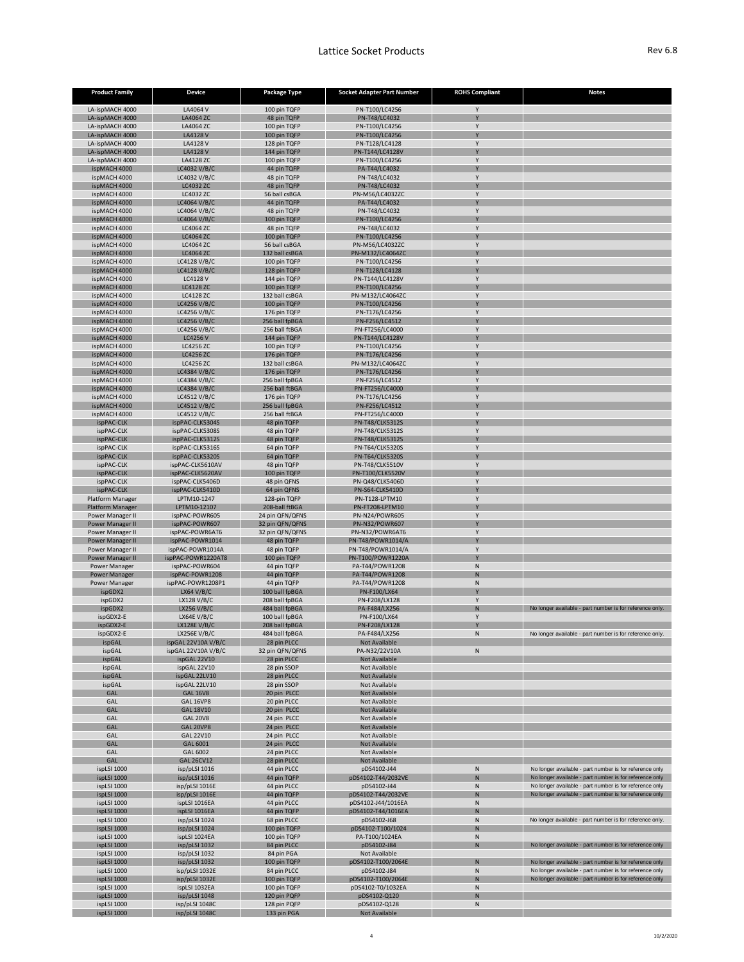| <b>Product Family</b>                           | <b>Device</b>                        | <b>Package Type</b>               | <b>Socket Adapter Part Number</b>                | <b>ROHS Compliant</b> | <b>Notes</b>                                                                                                       |
|-------------------------------------------------|--------------------------------------|-----------------------------------|--------------------------------------------------|-----------------------|--------------------------------------------------------------------------------------------------------------------|
| LA-ispMACH 4000                                 | LA4064 V                             | 100 pin TQFP                      | PN-T100/LC4256                                   | <sup>Y</sup>          |                                                                                                                    |
| LA-ispMACH 4000                                 | LA4064 ZC                            | 48 pin TQFP                       | PN-T48/LC4032                                    | Y                     |                                                                                                                    |
| LA-ispMACH 4000                                 | LA4064 ZC                            | 100 pin TQFP                      | PN-T100/LC4256                                   |                       |                                                                                                                    |
| LA-ispMACH 4000<br>LA-ispMACH 4000              | <b>LA4128 V</b><br>LA4128 V          | 100 pin TQFP<br>128 pin TQFP      | PN-T100/LC4256<br>PN-T128/LC4128                 | $\vee$                |                                                                                                                    |
| LA-ispMACH 4000                                 | <b>LA4128 V</b>                      | 144 pin TQFP                      | PN-T144/LC4128V                                  | <b>V</b>              |                                                                                                                    |
| LA-ispMACH 4000                                 | LA4128 ZC                            | 100 pin TQFP                      | PN-T100/LC4256                                   |                       |                                                                                                                    |
| ispMACH 4000                                    | LC4032 V/B/C                         | 44 pin TQFP                       | PA-T44/LC4032                                    | Y                     |                                                                                                                    |
| ispMACH 4000<br>ispMACH 4000                    | LC4032 V/B/C<br>LC4032 ZC            | 48 pin TQFP<br>48 pin TQFP        | PN-T48/LC4032<br>PN-T48/LC4032                   | Y                     |                                                                                                                    |
| ispMACH 4000                                    | LC4032 ZC                            | 56 ball csBGA                     | PN-M56/LC4032ZC                                  |                       |                                                                                                                    |
| ispMACH 4000                                    | LC4064 V/B/C                         | 44 pin TQFP                       | PA-T44/LC4032                                    | Y                     |                                                                                                                    |
| ispMACH 4000                                    | LC4064 V/B/C                         | 48 pin TQFP                       | PN-T48/LC4032                                    |                       |                                                                                                                    |
| ispMACH 4000<br>ispMACH 4000                    | LC4064 V/B/C<br><b>LC4064 ZC</b>     | 100 pin TQFP<br>48 pin TQFP       | PN-T100/LC4256<br>PN-T48/LC4032                  | $\vee$                |                                                                                                                    |
| ispMACH 4000                                    | <b>LC4064 ZC</b>                     | 100 pin TQFP                      | PN-T100/LC4256                                   | $\vee$                |                                                                                                                    |
| ispMACH 4000                                    | <b>LC4064 ZC</b>                     | 56 ball csBGA                     | PN-M56/LC4032ZC                                  |                       |                                                                                                                    |
| ispMACH 4000                                    | <b>LC4064 ZC</b>                     | 132 ball csBGA                    | PN-M132/LC4064ZC                                 |                       |                                                                                                                    |
| ispMACH 4000<br>ispMACH 4000                    | LC4128 V/B/C<br>LC4128 V/B/C         | 100 pin TQFP<br>128 pin TQFP      | PN-T100/LC4256<br>PN-T128/LC4128                 | $\vee$                |                                                                                                                    |
| ispMACH 4000                                    | <b>LC4128 V</b>                      | 144 pin TQFP                      | PN-T144/LC4128V                                  |                       |                                                                                                                    |
| ispMACH 4000                                    | <b>LC4128 ZC</b>                     | 100 pin TQFP                      | PN-T100/LC4256                                   |                       |                                                                                                                    |
| ispMACH 4000                                    | <b>LC4128 ZC</b>                     | 132 ball csBGA                    | PN-M132/LC4064ZC                                 |                       |                                                                                                                    |
| ispMACH 4000                                    | LC4256 V/B/C                         | 100 pin TQFP                      | PN-T100/LC4256                                   |                       |                                                                                                                    |
| ispMACH 4000<br>ispMACH 4000                    | LC4256 V/B/C<br>LC4256 V/B/C         | 176 pin TQFP<br>256 ball fpBGA    | PN-T176/LC4256<br>PN-F256/LC4512                 |                       |                                                                                                                    |
| ispMACH 4000                                    | LC4256 V/B/C                         | 256 ball ftBGA                    | PN-FT256/LC4000                                  |                       |                                                                                                                    |
| ispMACH 4000                                    | <b>LC4256 V</b>                      | 144 pin TQFP                      | PN-T144/LC4128V                                  |                       |                                                                                                                    |
| ispMACH 4000                                    | <b>LC4256 ZC</b>                     | 100 pin TQFP                      | PN-T100/LC4256                                   |                       |                                                                                                                    |
| ispMACH 4000<br>ispMACH 4000                    | <b>LC4256 ZC</b><br><b>LC4256 ZC</b> | 176 pin TQFP<br>132 ball csBGA    | PN-T176/LC4256<br>PN-M132/LC4064ZC               | <b>V</b>              |                                                                                                                    |
| ispMACH 4000                                    | LC4384 V/B/C                         | 176 pin TQFP                      | PN-T176/LC4256                                   |                       |                                                                                                                    |
| ispMACH 4000                                    | LC4384 V/B/C                         | 256 ball fpBGA                    | PN-F256/LC4512                                   | $\vee$                |                                                                                                                    |
| ispMACH 4000                                    | LC4384 V/B/C                         | 256 ball ftBGA                    | PN-FT256/LC4000                                  |                       |                                                                                                                    |
| ispMACH 4000                                    | LC4512 V/B/C                         | 176 pin TQFP                      | PN-T176/LC4256                                   | $\vee$                |                                                                                                                    |
| ispMACH 4000<br>ispMACH 4000                    | LC4512 V/B/C<br>LC4512 V/B/C         | 256 ball fpBGA<br>256 ball ftBGA  | PN-F256/LC4512<br>PN-FT256/LC4000                | $\vee$                |                                                                                                                    |
| ispPAC-CLK                                      | ispPAC-CLK5304S                      | 48 pin TQFP                       | <b>PN-T48/CLK5312S</b>                           |                       |                                                                                                                    |
| ispPAC-CLK                                      | ispPAC-CLK5308S                      | 48 pin TQFP                       | <b>PN-T48/CLK5312S</b>                           | <b>V</b>              |                                                                                                                    |
| ispPAC-CLK                                      | ispPAC-CLK5312S                      | 48 pin TQFP                       | <b>PN-T48/CLK5312S</b>                           |                       |                                                                                                                    |
| ispPAC-CLK                                      | ispPAC-CLK5316S                      | 64 pin TQFP                       | PN-T64/CLK5320S                                  |                       |                                                                                                                    |
| ispPAC-CLK<br>ispPAC-CLK                        | ispPAC-CLK5320S<br>ispPAC-CLK5610AV  | 64 pin TQFP<br>48 pin TQFP        | <b>PN-T64/CLK5320S</b><br><b>PN-T48/CLK5510V</b> | <b>V</b>              |                                                                                                                    |
| ispPAC-CLK                                      | ispPAC-CLK5620AV                     | 100 pin TQFP                      | PN-T100/CLK5520V                                 |                       |                                                                                                                    |
| ispPAC-CLK                                      | ispPAC-CLK5406D                      | 48 pin QFNS                       | PN-Q48/CLK5406D                                  |                       |                                                                                                                    |
| ispPAC-CLK                                      | ispPAC-CLK5410D                      | 64 pin QFNS                       | <b>PN-S64-CLK5410D</b>                           | V                     |                                                                                                                    |
| <b>Platform Manager</b>                         | LPTM10-1247                          | 128-pin TQFP                      | PN-T128-LPTM10                                   |                       |                                                                                                                    |
| <b>Platform Manager</b><br>Power Manager II     | LPTM10-12107<br>ispPAC-POWR605       | 208-ball ftBGA<br>24 pin QFN/QFNS | PN-FT208-LPTM10<br><b>PN-N24/POWR605</b>         | Y<br>Y                |                                                                                                                    |
| <b>Power Manager II</b>                         | ispPAC-POWR607                       | 32 pin QFN/QFNS                   | PN-N32/POWR607                                   | <b>V</b>              |                                                                                                                    |
| <b>Power Manager II</b>                         | ispPAC-POWR6AT6                      | 32 pin QFN/QFNS                   | PN-N32/POWR6AT6                                  | Y                     |                                                                                                                    |
| <b>Power Manager II</b>                         | ispPAC-POWR1014                      | 48 pin TQFP                       | PN-T48/POWR1014/A                                | Y                     |                                                                                                                    |
| Power Manager II                                | ispPAC-POWR1014A                     | 48 pin TQFP                       | PN-T48/POWR1014/A                                | Y                     |                                                                                                                    |
| <b>Power Manager II</b><br><b>Power Manager</b> | ispPAC-POWR1220AT8<br>ispPAC-POWR604 | 100 pin TQFP<br>44 pin TQFP       | PN-T100/POWR1220A<br>PA-T44/POWR1208             | Y<br>$\mathsf{N}$     |                                                                                                                    |
| <b>Power Manager</b>                            | ispPAC-POWR1208                      | 44 pin TQFP                       | PA-T44/POWR1208                                  | $\mathsf{N}$          |                                                                                                                    |
| Power Manager                                   | ispPAC-POWR1208P1                    | 44 pin TQFP                       | PA-T44/POWR1208                                  | $\mathsf{N}$          |                                                                                                                    |
| ispGDX2                                         | LX64 V/B/C                           | 100 ball fpBGA                    | PN-F100/LX64                                     |                       |                                                                                                                    |
| ispGDX2<br>ispGDX2                              | LX128 V/B/C<br>LX256 V/B/C           | 208 ball fpBGA<br>484 ball fpBGA  | PN-F208/LX128<br>PA-F484/LX256                   | $\mathsf{N}$          | No longer available - part number is for reference only.                                                           |
| ispGDX2-E                                       | LX64E V/B/C                          | 100 ball fpBGA                    | PN-F100/LX64                                     |                       |                                                                                                                    |
| ispGDX2-E                                       | LX128E V/B/C                         | 208 ball fpBGA                    | PN-F208/LX128                                    | Y                     |                                                                                                                    |
| ispGDX2-E                                       | LX256E V/B/C                         | 484 ball fpBGA                    | PA-F484/LX256                                    | $\mathsf{N}$          | No longer available - part number is for reference only.                                                           |
| ispGAL                                          | ispGAL 22V10A V/B/C                  | 28 pin PLCC                       | Not Available                                    |                       |                                                                                                                    |
| ispGAL<br>ispGAL                                | ispGAL 22V10A V/B/C<br>ispGAL 22V10  | 32 pin QFN/QFNS<br>28 pin PLCC    | PA-N32/22V10A<br>Not Available                   | $\mathsf{N}$          |                                                                                                                    |
| ispGAL                                          | ispGAL 22V10                         | 28 pin SSOP                       | Not Available                                    |                       |                                                                                                                    |
| ispGAL                                          | ispGAL 22LV10                        | 28 pin PLCC                       | Not Available                                    |                       |                                                                                                                    |
| ispGAL                                          | ispGAL 22LV10                        | 28 pin SSOP                       | Not Available                                    |                       |                                                                                                                    |
| <b>GAL</b><br>GAL                               | <b>GAL 16V8</b><br><b>GAL 16VP8</b>  | 20 pin PLCC<br>20 pin PLCC        | Not Available<br>Not Available                   |                       |                                                                                                                    |
| <b>GAL</b>                                      | <b>GAL 18V10</b>                     | 20 pin PLCC                       | Not Available                                    |                       |                                                                                                                    |
| <b>GAL</b>                                      | <b>GAL 20V8</b>                      | 24 pin PLCC                       | <b>Not Available</b>                             |                       |                                                                                                                    |
| <b>GAL</b>                                      | GAL 20VP8                            | 24 pin PLCC                       | <b>Not Available</b>                             |                       |                                                                                                                    |
| GAL                                             | <b>GAL 22V10</b>                     | 24 pin PLCC                       | Not Available                                    |                       |                                                                                                                    |
| <b>GAL</b><br>GAL                               | GAL 6001<br>GAL 6002                 | 24 pin PLCC<br>24 pin PLCC        | Not Available<br>Not Available                   |                       |                                                                                                                    |
| <b>GAL</b>                                      | <b>GAL 26CV12</b>                    | 28 pin PLCC                       | <b>Not Available</b>                             |                       |                                                                                                                    |
| ispLSI 1000                                     | isp/pLSI 1016                        | 44 pin PLCC                       | pDS4102-J44                                      | $\mathsf{N}$          | No longer available - part number is for reference only                                                            |
| ispLSI 1000                                     | isp/pLSI 1016                        | 44 pin TQFP                       | pDS4102-T44/2032VE                               | N                     | No longer available - part number is for reference only                                                            |
| ispLSI 1000<br>ispLSI 1000                      | isp/pLSI 1016E<br>isp/pLSI 1016E     | 44 pin PLCC<br>44 pin TQFP        | pDS4102-J44<br>pDS4102-T44/2032VE                | N<br>N                | No longer available - part number is for reference only<br>No longer available - part number is for reference only |
| ispLSI 1000                                     | ispLSI 1016EA                        | 44 pin PLCC                       | pDS4102-J44/1016EA                               | N                     |                                                                                                                    |
| ispLSI 1000                                     | ispLSI 1016EA                        | 44 pin TQFP                       | pDS4102-T44/1016EA                               | ${\sf N}$             |                                                                                                                    |
| ispLSI 1000                                     | isp/pLSI 1024                        | 68 pin PLCC                       | pDS4102-J68                                      | N                     | No longer available - part number is for reference only.                                                           |
| ispLSI 1000                                     | isp/pLSI 1024                        | 100 pin TQFP                      | pDS4102-T100/1024                                | $\mathsf{N}$          |                                                                                                                    |
| ispLSI 1000<br>ispLSI 1000                      | ispLSI 1024EA<br>$isp/pLSI$ 1032     | 100 pin TQFP<br>84 pin PLCC       | PA-T100/1024EA<br>pDS4102-J84                    | $\mathsf{N}$<br>N     | No longer available - part number is for reference only                                                            |
| ispLSI 1000                                     | isp/pLSI 1032                        | 84 pin PGA                        | Not Available                                    |                       |                                                                                                                    |
| ispLSI 1000                                     | isp/pLSI 1032                        | 100 pin TQFP                      | pDS4102-T100/2064E                               | N                     | No longer available - part number is for reference only                                                            |
| ispLSI 1000                                     | isp/pLSI 1032E                       | 84 pin PLCC                       | pDS4102-J84                                      | $\mathsf{N}$          | No longer available - part number is for reference only                                                            |
| ispLSI 1000<br>ispLSI 1000                      | isp/pLSI 1032E<br>ispLSI 1032EA      | 100 pin TQFP<br>100 pin TQFP      | pDS4102-T100/2064E<br>pDS4102-T0/1032EA          | N<br>$\mathsf{N}$     | No longer available - part number is for reference only                                                            |
| ispLSI 1000                                     | isp/pLSI 1048                        | 120 pin PQFP                      | pDS4102-Q120                                     | N                     |                                                                                                                    |
| ispLSI 1000                                     | isp/pLSI 1048C                       | 128 pin PQFP                      | pDS4102-Q128                                     | $\mathsf{N}$          |                                                                                                                    |
| ispLSI 1000                                     | isp/pLSI 1048C                       | 133 pin PGA                       | Not Available                                    |                       |                                                                                                                    |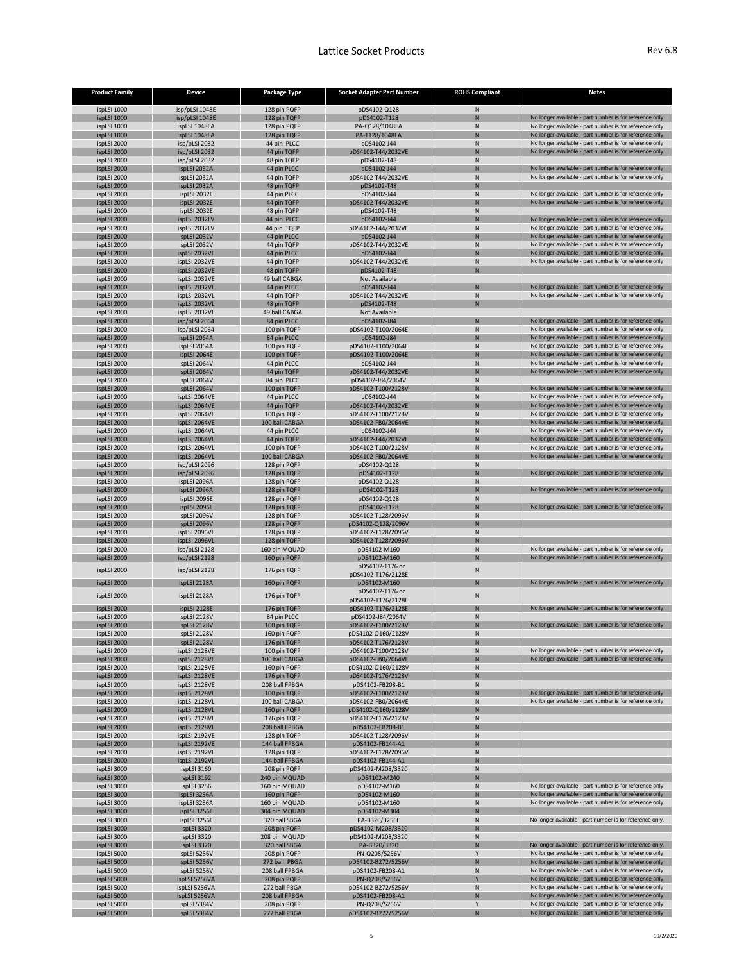| <b>Product Family</b>      | <b>Device</b>                  | <b>Package Type</b>             | <b>Socket Adapter Part Number</b>        | <b>ROHS Compliant</b>        | <b>Notes</b>                                                                                                        |
|----------------------------|--------------------------------|---------------------------------|------------------------------------------|------------------------------|---------------------------------------------------------------------------------------------------------------------|
| ispLSI 1000                | isp/pLSI 1048E                 | 128 pin PQFP                    | pDS4102-Q128                             | N                            |                                                                                                                     |
| ispLSI 1000                | isp/pLSI 1048E                 | 128 pin TQFP                    | pDS4102-T128                             | N                            | No longer available - part number is for reference only                                                             |
| ispLSI 1000                | ispLSI 1048EA                  | 128 pin PQFP                    | PA-Q128/1048EA                           | N                            | No longer available - part number is for reference only                                                             |
| ispLSI 1000<br>ispLSI 2000 | ispLSI 1048EA<br>isp/pLSI 2032 | 128 pin TQFP<br>44 pin PLCC     | PA-T128/1048EA<br>pDS4102-J44            | N<br>N                       | No longer available - part number is for reference only<br>No longer available - part number is for reference only  |
| ispLSI 2000                | isp/pLSI 2032                  | 44 pin TQFP                     | pDS4102-T44/2032VE                       | N                            | No longer available - part number is for reference only                                                             |
| ispLSI 2000                | isp/pLSI 2032                  | 48 pin TQFP                     | pDS4102-T48                              | N                            |                                                                                                                     |
| ispLSI 2000                | ispLSI 2032A                   | 44 pin PLCC                     | pDS4102-J44                              | N                            | No longer available - part number is for reference only                                                             |
| ispLSI 2000<br>ispLSI 2000 | ispLSI 2032A<br>ispLSI 2032A   | 44 pin TQFP<br>48 pin TQFP      | pDS4102-T44/2032VE<br>pDS4102-T48        | N<br>N                       | No longer available - part number is for reference only                                                             |
| ispLSI 2000                | ispLSI 2032E                   | 44 pin PLCC                     | pDS4102-J44                              | N                            | No longer available - part number is for reference only                                                             |
| ispLSI 2000                | ispLSI 2032E                   | 44 pin TQFP                     | pDS4102-T44/2032VE                       | N                            | No longer available - part number is for reference only                                                             |
| ispLSI 2000                | ispLSI 2032E                   | 48 pin TQFP                     | pDS4102-T48                              | <sup>N</sup>                 |                                                                                                                     |
| ispLSI 2000<br>ispLSI 2000 | ispLSI 2032LV<br>ispLSI 2032LV | 44 pin PLCC<br>44 pin TQFP      | pDS4102-J44<br>pDS4102-T44/2032VE        | N<br>N                       | No longer available - part number is for reference only<br>No longer available - part number is for reference only  |
| ispLSI 2000                | ispLSI 2032V                   | 44 pin PLCC                     | pDS4102-J44                              | $\mathsf{N}$                 | No longer available - part number is for reference only                                                             |
| ispLSI 2000                | ispLSI 2032V                   | 44 pin TQFP                     | pDS4102-T44/2032VE                       | <sup>N</sup>                 | No longer available - part number is for reference only                                                             |
| ispLSI 2000                | ispLSI 2032VE                  | 44 pin PLCC                     | pDS4102-J44                              | N                            | No longer available - part number is for reference only                                                             |
| ispLSI 2000<br>ispLSI 2000 | ispLSI 2032VE<br>ispLSI 2032VE | 44 pin TQFP<br>48 pin TQFP      | pDS4102-T44/2032VE<br>pDS4102-T48        | N                            | No longer available - part number is for reference only                                                             |
| ispLSI 2000                | ispLSI 2032VE                  | 49 ball CABGA                   | Not Available                            |                              |                                                                                                                     |
| ispLSI 2000                | ispLSI 2032VL                  | 44 pin PLCC                     | pDS4102-J44                              | N                            | No longer available - part number is for reference only                                                             |
| ispLSI 2000                | ispLSI 2032VL                  | 44 pin TQFP                     | pDS4102-T44/2032VE                       | <sup>N</sup>                 | No longer available - part number is for reference only                                                             |
| ispLSI 2000<br>ispLSI 2000 | ispLSI 2032VL<br>ispLSI 2032VL | 48 pin TQFP<br>49 ball CABGA    | pDS4102-T48<br>Not Available             | N                            |                                                                                                                     |
| ispLSI 2000                | isp/pLSI 2064                  | 84 pin PLCC                     | pDS4102-J84                              | N                            | No longer available - part number is for reference only                                                             |
| ispLSI 2000                | isp/pLSI 2064                  | 100 pin TQFP                    | pDS4102-T100/2064E                       | N                            | No longer available - part number is for reference only                                                             |
| ispLSI 2000                | ispLSI 2064A                   | 84 pin PLCC                     | pDS4102-J84                              | $\mathsf{N}$                 | No longer available - part number is for reference only                                                             |
| ispLSI 2000                | ispLSI 2064A                   | 100 pin TQFP                    | pDS4102-T100/2064E                       | N                            | No longer available - part number is for reference only                                                             |
| ispLSI 2000<br>ispLSI 2000 | ispLSI 2064E<br>ispLSI 2064V   | 100 pin TQFP<br>44 pin PLCC     | pDS4102-T100/2064E<br>pDS4102-J44        | N<br>N                       | No longer available - part number is for reference only<br>No longer available - part number is for reference only  |
| ispLSI 2000                | ispLSI 2064V                   | 44 pin TQFP                     | pDS4102-T44/2032VE                       | N                            | No longer available - part number is for reference only                                                             |
| ispLSI 2000                | ispLSI 2064V                   | 84 pin PLCC                     | pDS4102-J84/2064V                        | $\mathsf{N}$                 |                                                                                                                     |
| ispLSI 2000                | ispLSI 2064V                   | 100 pin TQFP                    | pDS4102-T100/2128V                       | N                            | No longer available - part number is for reference only                                                             |
| ispLSI 2000                | ispLSI 2064VE                  | 44 pin PLCC                     | pDS4102-J44                              | $\mathsf{N}$                 | No longer available - part number is for reference only                                                             |
| ispLSI 2000<br>ispLSI 2000 | ispLSI 2064VE<br>ispLSI 2064VE | 44 pin TQFP<br>100 pin TQFP     | pDS4102-T44/2032VE<br>pDS4102-T100/2128V | $\mathsf{N}$<br>$\mathsf{N}$ | No longer available - part number is for reference only<br>No longer available - part number is for reference only  |
| ispLSI 2000                | ispLSI 2064VE                  | 100 ball CABGA                  | pDS4102-FB0/2064VE                       | N                            | No longer available - part number is for reference only                                                             |
| ispLSI 2000                | ispLSI 2064VL                  | 44 pin PLCC                     | pDS4102-J44                              | N                            | No longer available - part number is for reference only                                                             |
| ispLSI 2000                | ispLSI 2064VL                  | 44 pin TQFP                     | pDS4102-T44/2032VE                       | $\mathsf{N}$                 | No longer available - part number is for reference only                                                             |
| ispLSI 2000                | ispLSI 2064VL                  | 100 pin TQFP                    | pDS4102-T100/2128V                       | N                            | No longer available - part number is for reference only                                                             |
| ispLSI 2000<br>ispLSI 2000 | ispLSI 2064VL<br>isp/pLSI 2096 | 100 ball CABGA<br>128 pin PQFP  | pDS4102-FB0/2064VE<br>pDS4102-Q128       | N<br>N                       | No longer available - part number is for reference only                                                             |
| ispLSI 2000                | isp/pLSI 2096                  | 128 pin TQFP                    | pDS4102-T128                             | N                            | No longer available - part number is for reference only                                                             |
| ispLSI 2000                | ispLSI 2096A                   | 128 pin PQFP                    | pDS4102-Q128                             | N                            |                                                                                                                     |
| ispLSI 2000                | ispLSI 2096A                   | 128 pin TQFP                    | pDS4102-T128                             | N                            | No longer available - part number is for reference only                                                             |
| ispLSI 2000                | ispLSI 2096E                   | 128 pin PQFP                    | pDS4102-Q128                             | N                            |                                                                                                                     |
| ispLSI 2000<br>ispLSI 2000 | ispLSI 2096E<br>ispLSI 2096V   | 128 pin TQFP<br>128 pin TQFP    | pDS4102-T128<br>pDS4102-T128/2096V       | N<br>N                       | No longer available - part number is for reference only                                                             |
| ispLSI 2000                | ispLSI 2096V                   | 128 pin PQFP                    | pDS4102-Q128/2096V                       | $\mathsf{N}$                 |                                                                                                                     |
| ispLSI 2000                | ispLSI 2096VE                  | 128 pin TQFP                    | pDS4102-T128/2096V                       | $\mathsf{N}$                 |                                                                                                                     |
| ispLSI 2000                | ispLSI 2096VL                  | 128 pin TQFP                    | pDS4102-T128/2096V                       | N                            |                                                                                                                     |
| ispLSI 2000                | isp/pLSI 2128                  | 160 pin MQUAD                   | pDS4102-M160<br>pDS4102-M160             | N<br>N                       | No longer available - part number is for reference only<br>No longer available - part number is for reference only  |
| ispLSI 2000                | isp/pLSI 2128                  | 160 pin PQFP                    | pDS4102-T176 or                          |                              |                                                                                                                     |
| ispLSI 2000                | isp/pLSI 2128                  | 176 pin TQFP                    | pDS4102-T176/2128E                       | N                            |                                                                                                                     |
| ispLSI 2000                | ispLSI 2128A                   | 160 pin PQFP                    | pDS4102-M160                             | $\mathsf{N}$                 | No longer available - part number is for reference only                                                             |
| ispLSI 2000                | ispLSI 2128A                   | 176 pin TQFP                    | pDS4102-T176 or                          | N                            |                                                                                                                     |
| ispLSI 2000                | ispLSI 2128E                   | 176 pin TQFP                    | pDS4102-T176/2128E<br>pDS4102-T176/2128E | N                            | No longer available - part number is for reference only                                                             |
| ispLSI 2000                | ispLSI 2128V                   | 84 pin PLCC                     | pDS4102-J84/2064V                        | N                            |                                                                                                                     |
| ispLSI 2000                | ispLSI 2128V                   | 100 pin TQFP                    | pDS4102-T100/2128V                       | N                            | No longer available - part number is for reference only                                                             |
| ispLSI 2000                | ispLSI 2128V                   | 160 pin PQFP                    | pDS4102-Q160/2128V                       | <sup>N</sup>                 |                                                                                                                     |
| ispLSI 2000                | ispLSI 2128V                   | 176 pin TQFP                    | pDS4102-T176/2128V                       | $\mathsf{N}$                 |                                                                                                                     |
| ispLSI 2000<br>ispLSI 2000 | ispLSI 2128VE<br>ispLSI 2128VE | 100 pin TQFP<br>100 ball CABGA  | pDS4102-T100/2128V<br>pDS4102-FB0/2064VE | N<br>N                       | No longer available - part number is for reference only<br>No longer available - part number is for reference only  |
| ispLSI 2000                | ispLSI 2128VE                  | 160 pin PQFP                    | pDS4102-Q160/2128V                       | N                            |                                                                                                                     |
| ispLSI 2000                | ispLSI 2128VE                  | 176 pin TQFP                    | pDS4102-T176/2128V                       | N                            |                                                                                                                     |
| ispLSI 2000                | ispLSI 2128VE                  | 208 ball FPBGA                  | pDS4102-FB208-B1                         | N                            |                                                                                                                     |
| ispLSI 2000<br>ispLSI 2000 | ispLSI 2128VL<br>ispLSI 2128VL | 100 pin TQFP<br>100 ball CABGA  | pDS4102-T100/2128V<br>pDS4102-FB0/2064VE | N<br>N                       | No longer available - part number is for reference only<br>No longer available - part number is for reference only  |
| ispLSI 2000                | ispLSI 2128VL                  | 160 pin PQFP                    | pDS4102-Q160/2128V                       | ${\sf N}$                    |                                                                                                                     |
| ispLSI 2000                | ispLSI 2128VL                  | 176 pin TQFP                    | pDS4102-T176/2128V                       | N                            |                                                                                                                     |
| ispLSI 2000                | ispLSI 2128VL                  | 208 ball FPBGA                  | pDS4102-FB208-B1                         | N                            |                                                                                                                     |
| ispLSI 2000                | ispLSI 2192VE                  | 128 pin TQFP                    | pDS4102-T128/2096V                       | N                            |                                                                                                                     |
| ispLSI 2000<br>ispLSI 2000 | ispLSI 2192VE<br>ispLSI 2192VL | 144 ball FPBGA<br>128 pin TQFP  | pDS4102-FB144-A1<br>pDS4102-T128/2096V   | $\mathsf{N}$<br>$\mathsf{N}$ |                                                                                                                     |
| ispLSI 2000                | ispLSI 2192VL                  | 144 ball FPBGA                  | pDS4102-FB144-A1                         | N                            |                                                                                                                     |
| ispLSI 3000                | ispLSI 3160                    | 208 pin PQFP                    | pDS4102-M208/3320                        | $\mathsf{N}$                 |                                                                                                                     |
| ispLSI 3000                | ispLSI 3192                    | 240 pin MQUAD                   | pDS4102-M240                             | N                            |                                                                                                                     |
| ispLSI 3000                | ispLSI 3256                    | 160 pin MQUAD                   | pDS4102-M160                             | $\mathsf{N}$                 | No longer available - part number is for reference only<br>No longer available - part number is for reference only  |
| ispLSI 3000<br>ispLSI 3000 | ispLSI 3256A<br>ispLSI 3256A   | 160 pin PQFP<br>160 pin MQUAD   | pDS4102-M160<br>pDS4102-M160             | $\mathsf{N}$<br>N            | No longer available - part number is for reference only                                                             |
| ispLSI 3000                | ispLSI 3256E                   | 304 pin MQUAD                   | pDS4102-M304                             | $\mathsf{N}$                 |                                                                                                                     |
| ispLSI 3000                | ispLSI 3256E                   | 320 ball SBGA                   | PA-B320/3256E                            | N                            | No longer available - part number is for reference only.                                                            |
| ispLSI 3000                | ispLSI 3320                    | 208 pin PQFP                    | pDS4102-M208/3320                        | N                            |                                                                                                                     |
| ispLSI 3000                | ispLSI 3320                    | 208 pin MQUAD                   | pDS4102-M208/3320                        | N                            |                                                                                                                     |
| ispLSI 3000<br>ispLSI 5000 | ispLSI 3320<br>ispLSI 5256V    | 320 ball SBGA<br>208 pin PQFP   | PA-B320/3320<br>PN-Q208/5256V            | N<br><sup>Y</sup>            | No longer available - part number is for reference only.<br>No longer available - part number is for reference only |
| ispLSI 5000                | ispLSI 5256V                   | 272 ball PBGA                   | pDS4102-B272/5256V                       | N                            | No longer available - part number is for reference only                                                             |
| ispLSI 5000                | ispLSI 5256V                   | 208 ball FPBGA                  | pDS4102-FB208-A1                         | $\mathsf{N}$                 | No longer available - part number is for reference only                                                             |
| ispLSI 5000                | ispLSI 5256VA                  | 208 pin PQFP                    | PN-Q208/5256V                            | Y                            | No longer available - part number is for reference only                                                             |
| ispLSI 5000<br>ispLSI 5000 | ispLSI 5256VA<br>ispLSI 5256VA | 272 ball PBGA<br>208 ball FPBGA | pDS4102-B272/5256V<br>pDS4102-FB208-A1   | ${\sf N}$<br>$\mathsf{N}$    | No longer available - part number is for reference only<br>No longer available - part number is for reference only  |
| ispLSI 5000                | ispLSI 5384V                   | 208 pin PQFP                    | PN-Q208/5256V                            |                              | No longer available - part number is for reference only                                                             |
| ispLSI 5000                | ispLSI 5384V                   | 272 ball PBGA                   | pDS4102-B272/5256V                       | $\mathsf{N}$                 | No longer available - part number is for reference only                                                             |